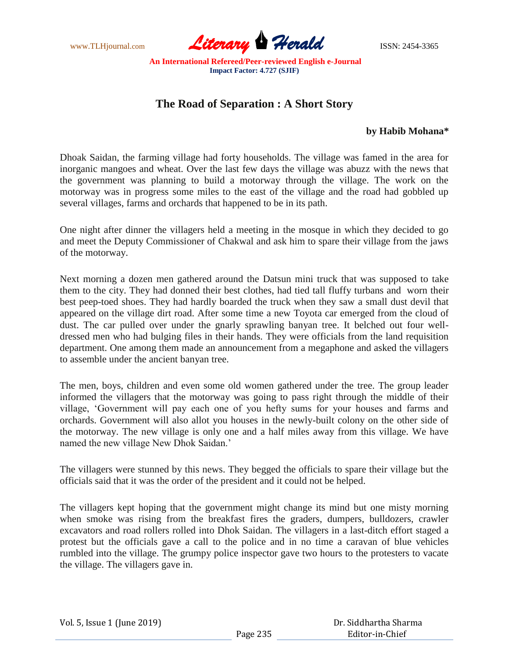

## **The Road of Separation : A Short Story**

## **by Habib Mohana\***

Dhoak Saidan, the farming village had forty households. The village was famed in the area for inorganic mangoes and wheat. Over the last few days the village was abuzz with the news that the government was planning to build a motorway through the village. The work on the motorway was in progress some miles to the east of the village and the road had gobbled up several villages, farms and orchards that happened to be in its path.

One night after dinner the villagers held a meeting in the mosque in which they decided to go and meet the Deputy Commissioner of Chakwal and ask him to spare their village from the jaws of the motorway.

Next morning a dozen men gathered around the Datsun mini truck that was supposed to take them to the city. They had donned their best clothes, had tied tall fluffy turbans and worn their best peep-toed shoes. They had hardly boarded the truck when they saw a small dust devil that appeared on the village dirt road. After some time a new Toyota car emerged from the cloud of dust. The car pulled over under the gnarly sprawling banyan tree. It belched out four welldressed men who had bulging files in their hands. They were officials from the land requisition department. One among them made an announcement from a megaphone and asked the villagers to assemble under the ancient banyan tree.

The men, boys, children and even some old women gathered under the tree. The group leader informed the villagers that the motorway was going to pass right through the middle of their village, 'Government will pay each one of you hefty sums for your houses and farms and orchards. Government will also allot you houses in the newly-built colony on the other side of the motorway. The new village is only one and a half miles away from this village. We have named the new village New Dhok Saidan.'

The villagers were stunned by this news. They begged the officials to spare their village but the officials said that it was the order of the president and it could not be helped.

The villagers kept hoping that the government might change its mind but one misty morning when smoke was rising from the breakfast fires the graders, dumpers, bulldozers, crawler excavators and road rollers rolled into Dhok Saidan. The villagers in a last-ditch effort staged a protest but the officials gave a call to the police and in no time a caravan of blue vehicles rumbled into the village. The grumpy police inspector gave two hours to the protesters to vacate the village. The villagers gave in.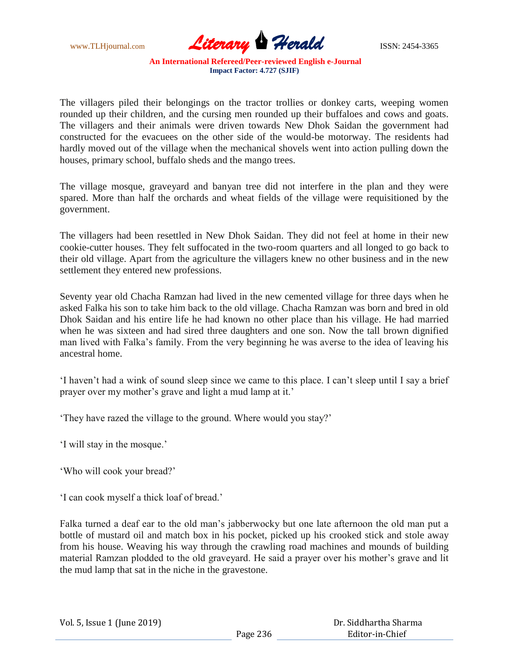

The villagers piled their belongings on the tractor trollies or donkey carts, weeping women rounded up their children, and the cursing men rounded up their buffaloes and cows and goats. The villagers and their animals were driven towards New Dhok Saidan the government had constructed for the evacuees on the other side of the would-be motorway. The residents had hardly moved out of the village when the mechanical shovels went into action pulling down the houses, primary school, buffalo sheds and the mango trees.

The village mosque, graveyard and banyan tree did not interfere in the plan and they were spared. More than half the orchards and wheat fields of the village were requisitioned by the government.

The villagers had been resettled in New Dhok Saidan. They did not feel at home in their new cookie-cutter houses. They felt suffocated in the two-room quarters and all longed to go back to their old village. Apart from the agriculture the villagers knew no other business and in the new settlement they entered new professions.

Seventy year old Chacha Ramzan had lived in the new cemented village for three days when he asked Falka his son to take him back to the old village. Chacha Ramzan was born and bred in old Dhok Saidan and his entire life he had known no other place than his village. He had married when he was sixteen and had sired three daughters and one son. Now the tall brown dignified man lived with Falka's family. From the very beginning he was averse to the idea of leaving his ancestral home.

'I haven't had a wink of sound sleep since we came to this place. I can't sleep until I say a brief prayer over my mother's grave and light a mud lamp at it.'

'They have razed the village to the ground. Where would you stay?'

- 'I will stay in the mosque.'
- 'Who will cook your bread?'

'I can cook myself a thick loaf of bread.'

Falka turned a deaf ear to the old man's jabberwocky but one late afternoon the old man put a bottle of mustard oil and match box in his pocket, picked up his crooked stick and stole away from his house. Weaving his way through the crawling road machines and mounds of building material Ramzan plodded to the old graveyard. He said a prayer over his mother's grave and lit the mud lamp that sat in the niche in the gravestone.

| Vol. 5, Issue 1 (June 2019) |  |
|-----------------------------|--|
|-----------------------------|--|

 Dr. Siddhartha Sharma Editor-in-Chief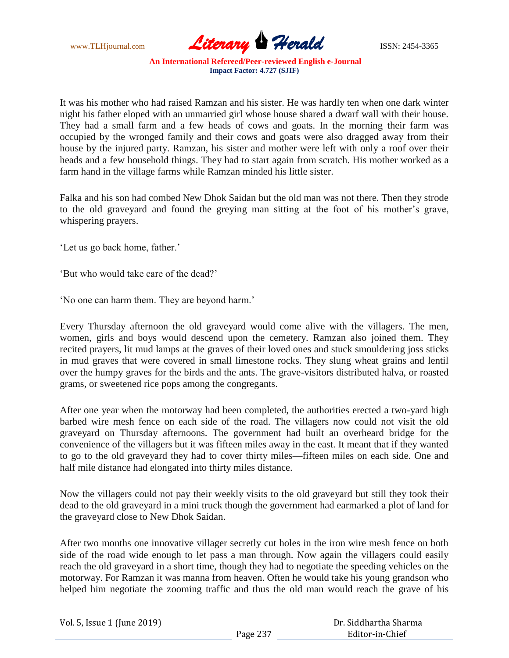

It was his mother who had raised Ramzan and his sister. He was hardly ten when one dark winter night his father eloped with an unmarried girl whose house shared a dwarf wall with their house. They had a small farm and a few heads of cows and goats. In the morning their farm was occupied by the wronged family and their cows and goats were also dragged away from their house by the injured party. Ramzan, his sister and mother were left with only a roof over their heads and a few household things. They had to start again from scratch. His mother worked as a farm hand in the village farms while Ramzan minded his little sister.

Falka and his son had combed New Dhok Saidan but the old man was not there. Then they strode to the old graveyard and found the greying man sitting at the foot of his mother's grave, whispering prayers.

'Let us go back home, father.'

'But who would take care of the dead?'

'No one can harm them. They are beyond harm.'

Every Thursday afternoon the old graveyard would come alive with the villagers. The men, women, girls and boys would descend upon the cemetery. Ramzan also joined them. They recited prayers, lit mud lamps at the graves of their loved ones and stuck smouldering joss sticks in mud graves that were covered in small limestone rocks. They slung wheat grains and lentil over the humpy graves for the birds and the ants. The grave-visitors distributed halva, or roasted grams, or sweetened rice pops among the congregants.

After one year when the motorway had been completed, the authorities erected a two-yard high barbed wire mesh fence on each side of the road. The villagers now could not visit the old graveyard on Thursday afternoons. The government had built an overheard bridge for the convenience of the villagers but it was fifteen miles away in the east. It meant that if they wanted to go to the old graveyard they had to cover thirty miles—fifteen miles on each side. One and half mile distance had elongated into thirty miles distance.

Now the villagers could not pay their weekly visits to the old graveyard but still they took their dead to the old graveyard in a mini truck though the government had earmarked a plot of land for the graveyard close to New Dhok Saidan.

After two months one innovative villager secretly cut holes in the iron wire mesh fence on both side of the road wide enough to let pass a man through. Now again the villagers could easily reach the old graveyard in a short time, though they had to negotiate the speeding vehicles on the motorway. For Ramzan it was manna from heaven. Often he would take his young grandson who helped him negotiate the zooming traffic and thus the old man would reach the grave of his

| Vol. 5, Issue 1 (June 2019) |          | Dr. Siddhartha Sharma |
|-----------------------------|----------|-----------------------|
|                             | Page 237 | Editor-in-Chief       |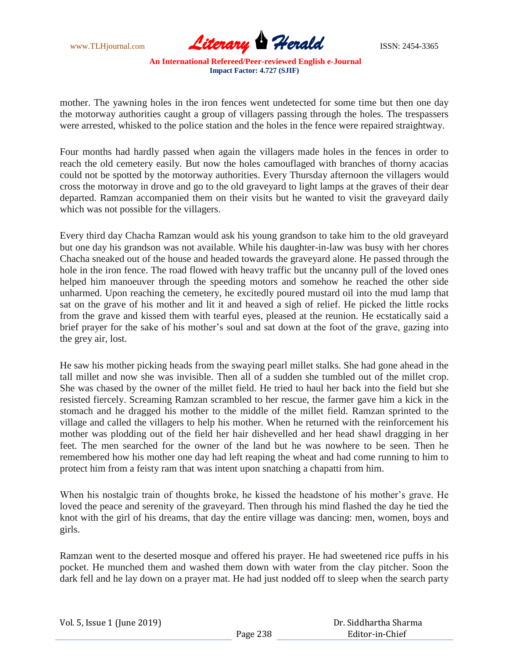

mother. The yawning holes in the iron fences went undetected for some time but then one day the motorway authorities caught a group of villagers passing through the holes. The trespassers were arrested, whisked to the police station and the holes in the fence were repaired straightway.

Four months had hardly passed when again the villagers made holes in the fences in order to reach the old cemetery easily. But now the holes camouflaged with branches of thorny acacias could not be spotted by the motorway authorities. Every Thursday afternoon the villagers would cross the motorway in drove and go to the old graveyard to light lamps at the graves of their dear departed. Ramzan accompanied them on their visits but he wanted to visit the graveyard daily which was not possible for the villagers.

Every third day Chacha Ramzan would ask his young grandson to take him to the old graveyard but one day his grandson was not available. While his daughter-in-law was busy with her chores Chacha sneaked out of the house and headed towards the graveyard alone. He passed through the hole in the iron fence. The road flowed with heavy traffic but the uncanny pull of the loved ones helped him manoeuver through the speeding motors and somehow he reached the other side unharmed. Upon reaching the cemetery, he excitedly poured mustard oil into the mud lamp that sat on the grave of his mother and lit it and heaved a sigh of relief. He picked the little rocks from the grave and kissed them with tearful eyes, pleased at the reunion. He ecstatically said a brief prayer for the sake of his mother's soul and sat down at the foot of the grave, gazing into the grey air, lost.

He saw his mother picking heads from the swaying pearl millet stalks. She had gone ahead in the tall millet and now she was invisible. Then all of a sudden she tumbled out of the millet crop. She was chased by the owner of the millet field. He tried to haul her back into the field but she resisted fiercely. Screaming Ramzan scrambled to her rescue, the farmer gave him a kick in the stomach and he dragged his mother to the middle of the millet field. Ramzan sprinted to the village and called the villagers to help his mother. When he returned with the reinforcement his mother was plodding out of the field her hair dishevelled and her head shawl dragging in her feet. The men searched for the owner of the land but he was nowhere to be seen. Then he remembered how his mother one day had left reaping the wheat and had come running to him to protect him from a feisty ram that was intent upon snatching a chapatti from him.

When his nostalgic train of thoughts broke, he kissed the headstone of his mother's grave. He loved the peace and serenity of the graveyard. Then through his mind flashed the day he tied the knot with the girl of his dreams, that day the entire village was dancing: men, women, boys and girls.

Ramzan went to the deserted mosque and offered his prayer. He had sweetened rice puffs in his pocket. He munched them and washed them down with water from the clay pitcher. Soon the dark fell and he lay down on a prayer mat. He had just nodded off to sleep when the search party

| Vol. 5, Issue 1 (June 2019) |  |
|-----------------------------|--|
|-----------------------------|--|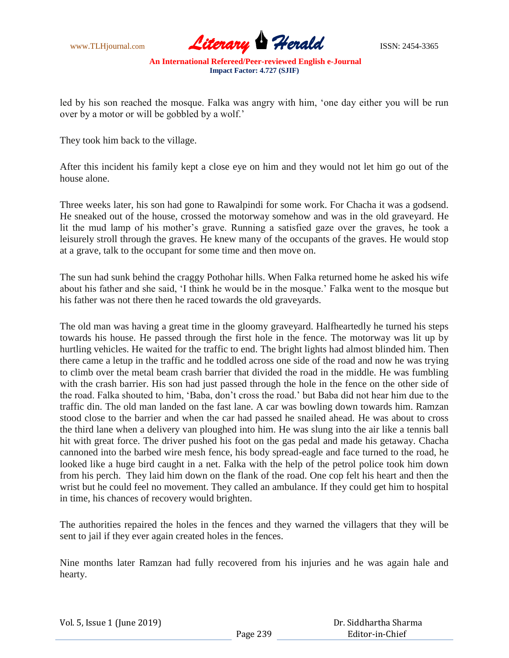

led by his son reached the mosque. Falka was angry with him, 'one day either you will be run over by a motor or will be gobbled by a wolf.'

They took him back to the village.

After this incident his family kept a close eye on him and they would not let him go out of the house alone.

Three weeks later, his son had gone to Rawalpindi for some work. For Chacha it was a godsend. He sneaked out of the house, crossed the motorway somehow and was in the old graveyard. He lit the mud lamp of his mother's grave. Running a satisfied gaze over the graves, he took a leisurely stroll through the graves. He knew many of the occupants of the graves. He would stop at a grave, talk to the occupant for some time and then move on.

The sun had sunk behind the craggy Pothohar hills. When Falka returned home he asked his wife about his father and she said, 'I think he would be in the mosque.' Falka went to the mosque but his father was not there then he raced towards the old graveyards.

The old man was having a great time in the gloomy graveyard. Halfheartedly he turned his steps towards his house. He passed through the first hole in the fence. The motorway was lit up by hurtling vehicles. He waited for the traffic to end. The bright lights had almost blinded him. Then there came a letup in the traffic and he toddled across one side of the road and now he was trying to climb over the metal beam crash barrier that divided the road in the middle. He was fumbling with the crash barrier. His son had just passed through the hole in the fence on the other side of the road. Falka shouted to him, 'Baba, don't cross the road.' but Baba did not hear him due to the traffic din. The old man landed on the fast lane. A car was bowling down towards him. Ramzan stood close to the barrier and when the car had passed he snailed ahead. He was about to cross the third lane when a delivery van ploughed into him. He was slung into the air like a tennis ball hit with great force. The driver pushed his foot on the gas pedal and made his getaway. Chacha cannoned into the barbed wire mesh fence, his body spread-eagle and face turned to the road, he looked like a huge bird caught in a net. Falka with the help of the petrol police took him down from his perch. They laid him down on the flank of the road. One cop felt his heart and then the wrist but he could feel no movement. They called an ambulance. If they could get him to hospital in time, his chances of recovery would brighten.

The authorities repaired the holes in the fences and they warned the villagers that they will be sent to jail if they ever again created holes in the fences.

Nine months later Ramzan had fully recovered from his injuries and he was again hale and hearty.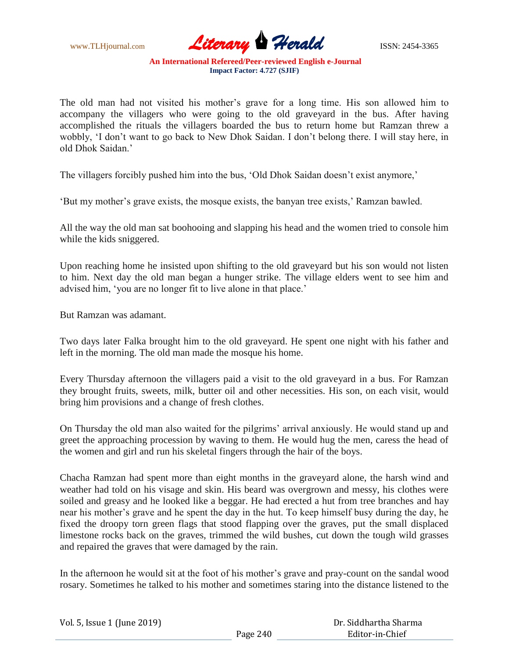www.TLHjournal.com **Literary Herald Herald ISSN: 2454-3365** 

The old man had not visited his mother's grave for a long time. His son allowed him to accompany the villagers who were going to the old graveyard in the bus. After having accomplished the rituals the villagers boarded the bus to return home but Ramzan threw a wobbly, 'I don't want to go back to New Dhok Saidan. I don't belong there. I will stay here, in old Dhok Saidan.'

The villagers forcibly pushed him into the bus, 'Old Dhok Saidan doesn't exist anymore,'

'But my mother's grave exists, the mosque exists, the banyan tree exists,' Ramzan bawled.

All the way the old man sat boohooing and slapping his head and the women tried to console him while the kids sniggered.

Upon reaching home he insisted upon shifting to the old graveyard but his son would not listen to him. Next day the old man began a hunger strike. The village elders went to see him and advised him, 'you are no longer fit to live alone in that place.'

But Ramzan was adamant.

Two days later Falka brought him to the old graveyard. He spent one night with his father and left in the morning. The old man made the mosque his home.

Every Thursday afternoon the villagers paid a visit to the old graveyard in a bus. For Ramzan they brought fruits, sweets, milk, butter oil and other necessities. His son, on each visit, would bring him provisions and a change of fresh clothes.

On Thursday the old man also waited for the pilgrims' arrival anxiously. He would stand up and greet the approaching procession by waving to them. He would hug the men, caress the head of the women and girl and run his skeletal fingers through the hair of the boys.

Chacha Ramzan had spent more than eight months in the graveyard alone, the harsh wind and weather had told on his visage and skin. His beard was overgrown and messy, his clothes were soiled and greasy and he looked like a beggar. He had erected a hut from tree branches and hay near his mother's grave and he spent the day in the hut. To keep himself busy during the day, he fixed the droopy torn green flags that stood flapping over the graves, put the small displaced limestone rocks back on the graves, trimmed the wild bushes, cut down the tough wild grasses and repaired the graves that were damaged by the rain.

In the afternoon he would sit at the foot of his mother's grave and pray-count on the sandal wood rosary. Sometimes he talked to his mother and sometimes staring into the distance listened to the

| Vol. 5, Issue 1 (June 2019) |          | Dr. Siddhartha Sharma |
|-----------------------------|----------|-----------------------|
|                             | Page 240 | Editor-in-Chief       |